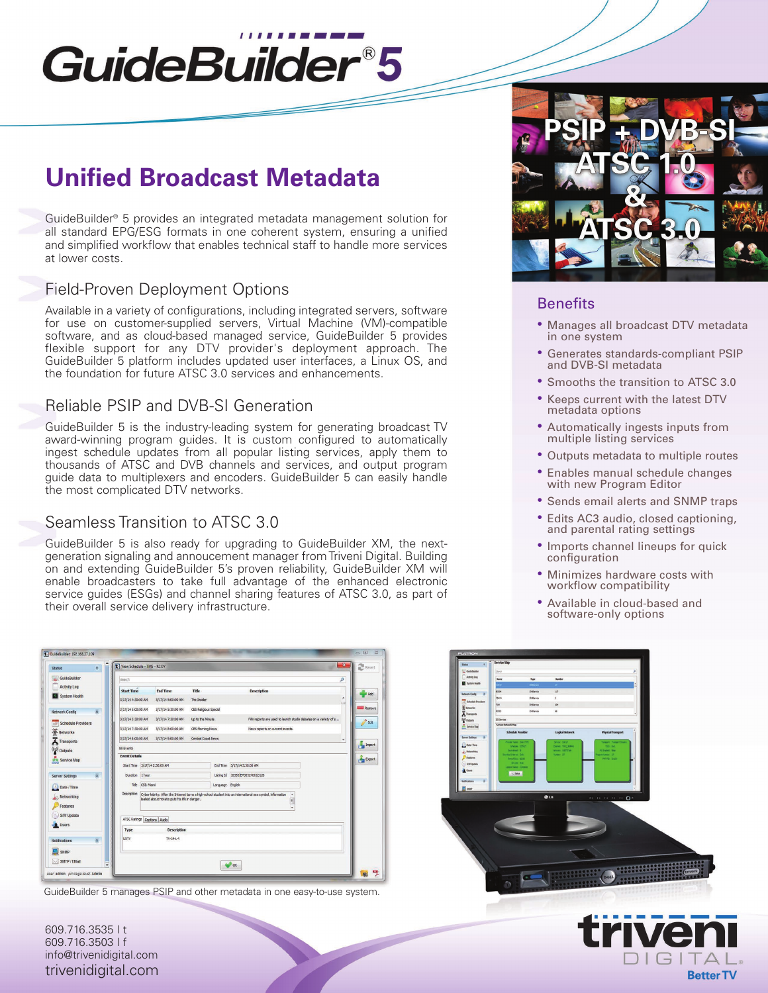# GuideBuilder®5

# **Unified Broadcast Metadata**

GuideBuilder ® 5 provides an integrated metadata management solution for all standard EPG/ESG formats in one coherent system, ensuring a unified and simplified workflow that enables technical staff to handle more services at lower costs.

# Field-Proven Deployment Options

Available in a variety of configurations, including integrated servers, software for use on customer-supplied servers, Virtual Machine (VM)-compatible software, and as cloud-based managed service, GuideBuilder 5 provides flexible support for any DTV provider's deployment approach. The GuideBuilder 5 platform includes updated user interfaces, a Linux OS, and the foundation for future ATSC 3.0 services and enhancements.

## Reliable PSIP and DVB-SI Generation

GuideBuilder 5 is the industry-leading system for generating broadcast TV award-winning program guides. It is custom configured to automatically ingest schedule updates from all popular listing services, apply them to thousands of ATSC and DVB channels and services, and output program guide data to multiplexers and encoders. GuideBuilder 5 can easily handle the most complicated DTV networks.

## Seamless Transition to ATSC 3.0

GuideBuilder 5 is also ready for upgrading to GuideBuilder XM, the nextgeneration signaling and annoucement manager fromTriveni Digital. Building on and extending GuideBuilder 5's proven reliability, GuideBuilder XM will enable broadcasters to take full advantage of the enhanced electronic service guides (ESGs) and channel sharing features of ATSC 3.0, as part of their overall service delivery infrastructure.

| 资<br><b>Status</b>                                                                                                                                                                                                                | $\mathbf{z}$<br>View Schedule - TMS - KCOY                                                                                       |                 |  |  |  |
|-----------------------------------------------------------------------------------------------------------------------------------------------------------------------------------------------------------------------------------|----------------------------------------------------------------------------------------------------------------------------------|-----------------|--|--|--|
| GuideBuilder                                                                                                                                                                                                                      | ø<br>Search                                                                                                                      |                 |  |  |  |
| <b>Activity Log</b>                                                                                                                                                                                                               | <b>End Time</b><br><b>Title</b><br><b>Start Time</b><br>Description                                                              | Add             |  |  |  |
| System Health                                                                                                                                                                                                                     | ٠<br>3/17/14 4:30:00 AM<br>3/17/14 5:00:00 AM<br>The Insider<br>$=$                                                              |                 |  |  |  |
| $\overline{\mathbf{x}}$<br>Network Config                                                                                                                                                                                         | CBS Religious Special<br>3/17/14 5:00:00 AM<br>3/17/14 5:30:00 AM                                                                | Remove          |  |  |  |
| Schedule Providers<br><b>TIBE</b>                                                                                                                                                                                                 | 3/17/14 5:30:00 AM<br>Up to the Minute<br>Film reports are used to launch studio debates on a variety of s<br>3/17/14 7:30:00 AM | Edit            |  |  |  |
|                                                                                                                                                                                                                                   | 3/17/14 7:30:00 AM<br>3/17/14 8:00:00 AM<br>CBS Morning News<br>News reports on current events.                                  |                 |  |  |  |
| 签 Networks<br>A Transports                                                                                                                                                                                                        | Central Coast News<br>3/17/14 8:00:00 AM<br>3/17/149:00:00 AM<br>÷                                                               | <b>L</b> Import |  |  |  |
| 88 Events<br>((e)) Outputs                                                                                                                                                                                                        |                                                                                                                                  |                 |  |  |  |
| on Service Map                                                                                                                                                                                                                    | <b>Event Details</b><br>Start Time 3/17/14 2:30:00 AM<br>End Time 3/17/14 3:30:00 AM                                             | Export          |  |  |  |
|                                                                                                                                                                                                                                   | Duration I hour<br>Listing Id  10385 EP005240510126                                                                              |                 |  |  |  |
| 文<br><b>Server Settings</b>                                                                                                                                                                                                       | Title CSI: Mami<br>Language English                                                                                              |                 |  |  |  |
| 5 Date / Time                                                                                                                                                                                                                     |                                                                                                                                  |                 |  |  |  |
| Description<br>Cyber-lebrity: After the Internet turns a high-school student into an international sex symbol, information<br>$\hat{\phantom{a}}$<br>Networking<br>leaked about Horatio puts his life in danger.<br>Features<br>÷ |                                                                                                                                  |                 |  |  |  |
| S/W Update<br><b>Users</b>                                                                                                                                                                                                        | ATSC Ratings Captions Audio                                                                                                      |                 |  |  |  |
|                                                                                                                                                                                                                                   | <b>Description</b><br>Type                                                                                                       |                 |  |  |  |
| 交<br><b>Notifications</b>                                                                                                                                                                                                         | $TV-14L-V$<br><b>USTV</b>                                                                                                        |                 |  |  |  |
| SNMP                                                                                                                                                                                                                              |                                                                                                                                  |                 |  |  |  |
| SMTP / EMail<br>÷                                                                                                                                                                                                                 | <b>OK</b>                                                                                                                        |                 |  |  |  |

GuideBuilder 5 manages PSIP and other metadata in one easy-to-use system.

609.716.3535 | t 609.716.3503 | f info@trivenidigital.com trivenidigital.com



#### **Benefits**

- Manages all broadcast DTV metadata in one system
- Generates standards-compliant PSIP and DVB-SI metadata
- Smooths the transition to ATSC 3.0
- Keeps current with the latest DTV metadata options
- Automatically ingests inputs from multiple listing services
- Outputs metadata to multiple routes
- Enables manual schedule changes with new Program Editor
- Sends email alerts and SNMP traps
- Edits AC3 audio, closed captioning, and parental rating settings
- Imports channel lineups for quick configuration
- Minimizes hardware costs with workflow compatibility
- Available in cloud-based and software-only options